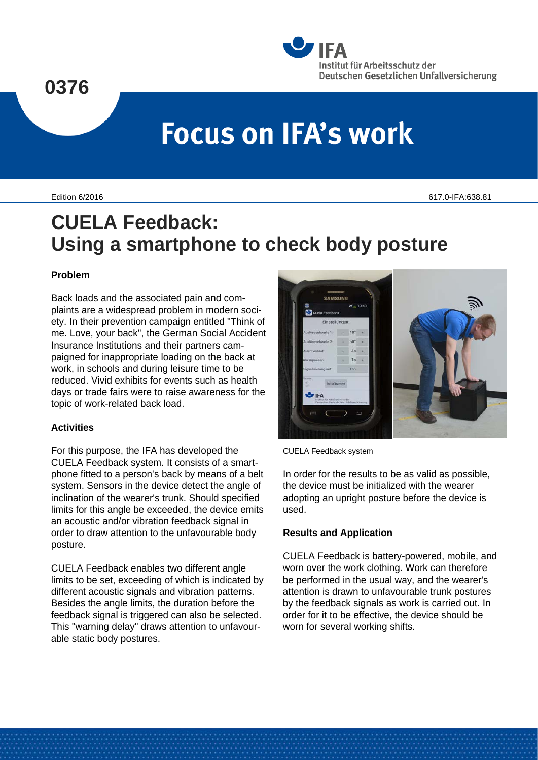# **0376**



# **Focus on IFA's work**

Edition 6/2016 617.0-IFA:638.81

# **CUELA Feedback: Using a smartphone to check body posture**

## **Problem**

Back loads and the associated pain and complaints are a widespread problem in modern society. In their prevention campaign entitled "Think of me. Love, your back", the German Social Accident Insurance Institutions and their partners campaigned for inappropriate loading on the back at work, in schools and during leisure time to be reduced. Vivid exhibits for events such as health days or trade fairs were to raise awareness for the topic of work-related back load.

## **Activities**

For this purpose, the IFA has developed the CUELA Feedback system. It consists of a smartphone fitted to a person's back by means of a belt system. Sensors in the device detect the angle of inclination of the wearer's trunk. Should specified limits for this angle be exceeded, the device emits an acoustic and/or vibration feedback signal in order to draw attention to the unfavourable body posture.

CUELA Feedback enables two different angle limits to be set, exceeding of which is indicated by different acoustic signals and vibration patterns. Besides the angle limits, the duration before the feedback signal is triggered can also be selected. This "warning delay" draws attention to unfavourable static body postures.



CUELA Feedback system

In order for the results to be as valid as possible, the device must be initialized with the wearer adopting an upright posture before the device is used.

#### **Results and Application**

CUELA Feedback is battery-powered, mobile, and worn over the work clothing. Work can therefore be performed in the usual way, and the wearer's attention is drawn to unfavourable trunk postures by the feedback signals as work is carried out. In order for it to be effective, the device should be worn for several working shifts.